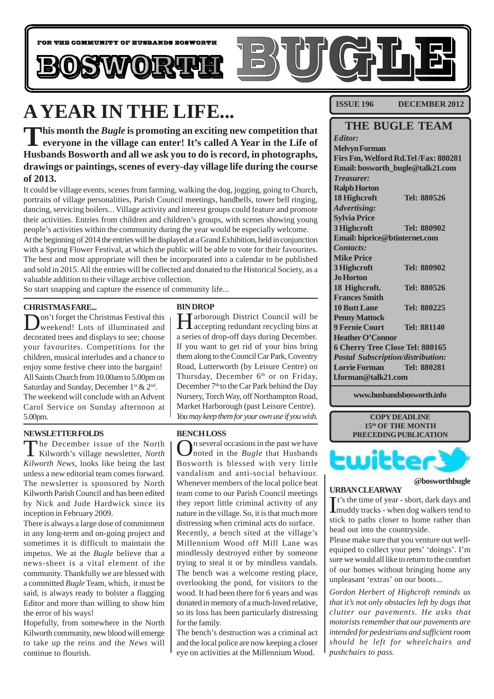

## **A YEAR IN THE LIFE...**

This month the *Bugle* is promoting an exciting new competition that<br>
everyone in the village can enter! It's called A Year in the Life of **Husbands Bosworth and all we ask you to do is record, in photographs, drawings or paintings, scenes of every-day village life during the course of 2013.**

It could be village events, scenes from farming, walking the dog, jogging, going to Church, portraits of village personalities, Parish Council meetings, handbells, tower bell ringing, dancing, servicing boilers... Village activity and interest groups could feature and promote their activities. Entries from children and children's groups, with scenes showing young people's activities within the community during the year would be especially welcome. At the beginning of 2014 the entries will be displayed at a Grand Exhibition, held in conjunction with a Spring Flower Festival, at which the public will be able to vote for their favourites. The best and most appropriate will then be incorporated into a calendar to be published and sold in 2015. All the entries will be collected and donated to the Historical Society, as a valuable addition to their village archive collection.

So start snapping and capture the essence of community life...

#### **CHRISTMAS FARE...**

Don't forget the Christmas Festival this weekend! Lots of illuminated and decorated trees and displays to see; choose your favourites. Competitions for the children, musical interludes and a chance to enjoy some festive cheer into the bargain! All Saints Church from 10.00am to 5.00pm on Saturday and Sunday, December  $1^{st}$  &  $2^{nd}$ . The weekend will conclude with an Advent Carol Service on Sunday afternoon at 5.00pm.

#### **NEWSLETTER FOLDS**

The December issue of the North Kilworth's village newsletter, *North Kilworth News*, looks like being the last unless a new editorial team comes forward. The newsletter is sponsored by North Kilworth Parish Council and has been edited by Nick and Jude Hardwick since its inception in February 2009.

There is always a large dose of commitment in any long-term and on-going project and sometimes it is difficult to maintain the impetus. We at the *Bugle* believe that a news-sheet is a vital element of the community. Thankfully we are blessed with a committed *Bugle* Team, which, it must be said, is always ready to bolster a flagging Editor and more than willing to show him the error of his ways!

Hopefully, from somewhere in the North Kilworth community, new blood will emerge to take up the reins and the *News* will continue to flourish.

#### **BIN DROP**

Harborough District Council will be accepting redundant recycling bins at a series of drop-off days during December. If you want to get rid of your bins bring them along to the Council Car Park, Coventry Road, Lutterworth (by Leisure Centre) on Thursday, December 6<sup>th</sup> or on Friday, December 7<sup>th</sup> to the Car Park behind the Day Nursery, Torch Way, off Northampton Road, Market Harborough (past Leisure Centre). *You may keep them for your own use if you wish.*

#### **BENCH LOSS**

In several occasions in the past we have noted in the *Bugle* that Husbands Bosworth is blessed with very little vandalism and anti-social behaviour. Whenever members of the local police beat team come to our Parish Council meetings they report little criminal activity of any nature in the village. So, it is that much more distressing when criminal acts do surface. Recently, a bench sited at the village's Millennium Wood off Mill Lane was mindlessly destroyed either by someone trying to steal it or by mindless vandals. The bench was a welcome resting place, overlooking the pond, for visitors to the wood. It had been there for 6 years and was donated in memory of a much-loved relative, so its loss has been particularly distressing for the family.

The bench's destruction was a criminal act and the local police are now keeping a closer eye on activities at the Millennium Wood.

**ISSUE 196 DECEMBER 2012**

### **THE BUGLE TEAM**

*Editor:* **Melvyn Forman Firs Fm, Welford Rd.Tel /Fax: 880281 Email: bosworth\_bugle@talk21.com** *Treasurer:* **Ralph Horton 18 Highcroft Tel: 880526** *Advertising:* **Sylvia Price 3 Highcroft Tel: 880902 Email: hiprice@btinternet.com** *Contacts:* **Mike Price 3 Highcroft Tel: 880902 Jo Horton 18 Highcroft. Tel: 880526 Frances Smith 10 Butt Lane Tel: 880225 Penny Mattock 9 Fernie Court Tel: 881140 Heather O'Connor 6 Cherry Tree Close Tel: 880165** *Postal Subscription/distribution:* **Lorrie Forman Tel: 880281 l.forman@talk21.com**

**www.husbandsbosworth.info**





#### **@bosworthbugle URBAN CLEARWAY**

It's the time of year - short, dark days and<br>muddy tracks - when dog walkers tend to muddy tracks - when dog walkers tend to stick to paths closer to home rather than head out into the countryside.

Please make sure that you venture out wellequiped to collect your pets' 'doings'. I'm sure we would all like to return to the comfort of our homes without bringing home any unpleasant 'extras' on our boots...

*Gordon Herbert of Highcroft reminds us that it's not only obstacles left by dogs that clutter our pavements. He asks that motorists remember that our pavements are intended for pedestrians and sufficient room should be left for wheelchairs and pushchairs to pass.*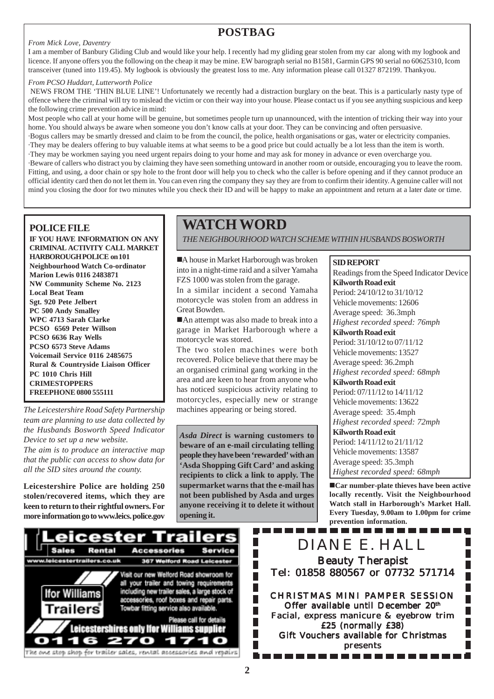### **POSTBAG**

#### *From Mick Love, Daventry*

I am a member of Banbury Gliding Club and would like your help. I recently had my gliding gear stolen from my car along with my logbook and licence. If anyone offers you the following on the cheap it may be mine. EW barograph serial no B1581, Garmin GPS 90 serial no 60625310, Icom transceiver (tuned into 119.45). My logbook is obviously the greatest loss to me. Any information please call 01327 872199. Thankyou.

#### *From PCSO Huddart, Lutterworth Police*

 NEWS FROM THE 'THIN BLUE LINE'! Unfortunately we recently had a distraction burglary on the beat. This is a particularly nasty type of offence where the criminal will try to mislead the victim or con their way into your house. Please contact us if you see anything suspicious and keep the following crime prevention advice in mind:

Most people who call at your home will be genuine, but sometimes people turn up unannounced, with the intention of tricking their way into your home. You should always be aware when someone you don't know calls at your door. They can be convincing and often persuasive.

·Bogus callers may be smartly dressed and claim to be from the council, the police, health organisations or gas, water or electricity companies. ·They may be dealers offering to buy valuable items at what seems to be a good price but could actually be a lot less than the item is worth.

·They may be workmen saying you need urgent repairs doing to your home and may ask for money in advance or even overcharge you.

·Beware of callers who distract you by claiming they have seen something untoward in another room or outside, encouraging you to leave the room. Fitting, and using, a door chain or spy hole to the front door will help you to check who the caller is before opening and if they cannot produce an official identity card then do not let them in. You can even ring the company they say they are from to confirm their identity. A genuine caller will not mind you closing the door for two minutes while you check their ID and will be happy to make an appointment and return at a later date or time.

#### **POLICE FILE**

**IF YOU HAVE INFORMATION ON ANY CRIMINAL ACTIVITY CALL MARKET HARBOROUGH POLICE on 101 Neighbourhood Watch Co-ordinator Marion Lewis 0116 2483871 NW Community Scheme No. 2123 Local Beat Team Sgt. 920 Pete Jelbert PC 500 Andy Smalley WPC 4713 Sarah Clarke PCSO 6569 Peter Willson PCSO 6636 Ray Wells PCSO 6573 Steve Adams Voicemail Service 0116 2485675 Rural & Countryside Liaison Officer PC 1010 Chris Hill CRIMESTOPPERS FREEPHONE 0800 555111**

*The Leicestershire Road Safety Partnership team are planning to use data collected by the Husbands Bosworth Speed Indicator Device to set up a new website.*

*The aim is to produce an interactive map that the public can access to show data for all the SID sites around the county.*

**Leicestershire Police are holding 250 stolen/recovered items, which they are keen to return to their rightful owners. For more information go to www.leics. police.gov**

### **WATCH WORD**

*THE NEIGHBOURHOOD WATCH SCHEME WITHIN HUSBANDS BOSWORTH*

A house in Market Harborough was broken into in a night-time raid and a silver Yamaha FZS 1000 was stolen from the garage.

In a similar incident a second Yamaha motorcycle was stolen from an address in Great Bowden.

■An attempt was also made to break into a garage in Market Harborough where a motorcycle was stored.

The two stolen machines were both recovered. Police believe that there may be an organised criminal gang working in the area and are keen to hear from anyone who has noticed suspicious activity relating to motorcycles, especially new or strange machines appearing or being stored.

*Asda Direct* **is warning customers to beware of an e-mail circulating telling people they have been 'rewarded' with an 'Asda Shopping Gift Card' and asking recipients to click a link to apply. The supermarket warns that the e-mail has not been published by Asda and urges anyone receiving it to delete it without opening it.**

L

**SID REPORT** Readings from the Speed Indicator Device **Kilworth Road exit** Period: 24/10/12 to 31/10/12 Vehicle movements: 12606 Average speed: 36.3mph *Highest recorded speed: 76mph* **Kilworth Road exit** Period: 31/10/12 to 07/11/12 Vehicle movements: 13527 Average speed: 36.2mph *Highest recorded speed: 68mph* **Kilworth Road exit** Period: 07/11/12 to 14/11/12 Vehicle movements: 13622 Average speed: 35.4mph *Highest recorded speed: 72mph* **Kilworth Road exit** Period: 14/11/12 to 21/11/12 Vehicle movements: 13587 Average speed: 35.3mph *Highest recorded speed: 68mph*

!**Car number-plate thieves have been active locally recently. Visit the Neighbourhood Watch stall in Harborough's Market Hall. Every Tuesday, 9.00am to 1.00pm for crime prevention information.**



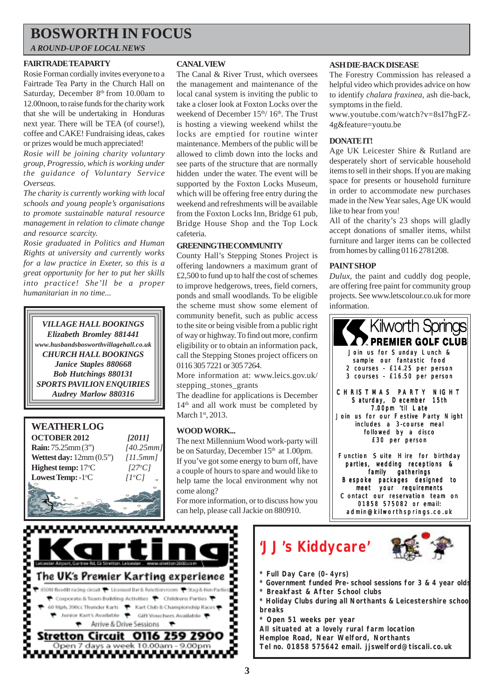### **BOSWORTH IN FOCUS**

*A ROUND-UP OF LOCAL NEWS*

#### **FAIRTRADE TEA PARTY**

Rosie Forman cordially invites everyone to a Fairtrade Tea Party in the Church Hall on Saturday, December 8<sup>th</sup> from 10.00am to 12.00noon, to raise funds for the charity work that she will be undertaking in Honduras next year. There will be TEA (of course!), coffee and CAKE! Fundraising ideas, cakes or prizes would be much appreciated!

*Rosie will be joining charity voluntary group, Progressio, which is working under the guidance of Voluntary Service Overseas.*

*The charity is currently working with local schools and young people's organisations to promote sustainable natural resource management in relation to climate change and resource scarcity.*

*Rosie graduated in Politics and Human Rights at university and currently works for a law practice in Exeter, so this is a great opportunity for her to put her skills into practice! She'll be a proper humanitarian in no time...*

*VILLAGE HALL BOOKINGS Elizabeth Bromley 881441 www.husbandsbosworthvillagehall.co.uk CHURCH HALL BOOKINGS Janice Staples 880668 Bob Hutchings 880131 SPORTS PAVILION ENQUIRIES Audrey Marlow 880316*



#### **CANAL VIEW**

The Canal & River Trust, which oversees the management and maintenance of the local canal system is inviting the public to take a closer look at Foxton Locks over the weekend of December 15<sup>th</sup>/ 16<sup>th</sup>. The Trust is hosting a viewing weekend whilst the locks are emptied for routine winter maintenance. Members of the public will be allowed to climb down into the locks and see parts of the structure that are normally hidden under the water. The event will be supported by the Foxton Locks Museum, which will be offering free entry during the weekend and refreshments will be available from the Foxton Locks Inn, Bridge 61 pub, Bridge House Shop and the Top Lock cafeteria.

#### **GREENING THE COMMUNITY**

County Hall's Stepping Stones Project is offering landowners a maximum grant of £2,500 to fund up to half the cost of schemes to improve hedgerows, trees, field corners, ponds and small woodlands. To be eligible the scheme must show some element of community benefit, such as public access to the site or being visible from a public right of way or highway. To find out more, confirm eligibility or to obtain an information pack, call the Stepping Stones project officers on 0116 305 7221 or 305 7264.

More information at: www.leics.gov.uk/ stepping\_stones\_grants

The deadline for applications is December 14<sup>th</sup> and all work must be completed by March 1st, 2013.

#### **WOOD WORK...**

The next Millennium Wood work-party will be on Saturday, December  $15<sup>th</sup>$  at 1.00pm. If you've got some energy to burn off, have a couple of hours to spare and would like to help tame the local environment why not come along?

For more information, or to discuss how you can help, please call Jackie on 880910.

#### **ASH DIE-BACK DISEASE**

The Forestry Commission has released a helpful video which provides advice on how to identify *chalara fraxinea,* ash die-back, symptoms in the field.

www.youtube.com/watch?v=8sI7hgFZ-4g&feature=youtu.be

#### **DONATE IT!**

Age UK Leicester Shire & Rutland are desperately short of servicable household items to sell in their shops. If you are making space for presents or household furniture in order to accommodate new purchases made in the New Year sales, Age UK would like to hear from you!

All of the charity's 23 shops will gladly accept donations of smaller items, whilst furniture and larger items can be collected from homes by calling 0116 2781208.

#### **PAINT SHOP**

*Dulux*, the paint and cuddly dog people, are offering free paint for community group projects. See www.letscolour.co.uk for more information.



admin@kilworthsprings.co.uk



# **'JJ's Kiddycare'**



- **\* Full Day Care (0-4yrs)**
- **\* Government funded Pre-school sessions for 3 & 4 year olds**
- **\* Breakfast & After School clubs**
- **\* Holiday Clubs during all Northants & Leicestershire school breaks**
- **\* Open 51 weeks per year**

**All situated at a lovely rural farm location Hemploe Road, Near Welford, Northants Tel no. 01858 575642 email. jjswelford@tiscali.co.uk**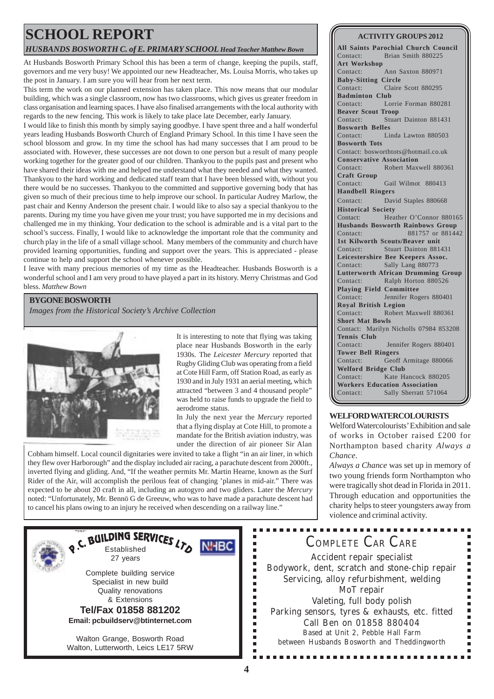### **SCHOOL REPORT**

#### *HUSBANDS BOSWORTH C. of E. PRIMARY SCHOOL Head Teacher Matthew Bown*

At Husbands Bosworth Primary School this has been a term of change, keeping the pupils, staff, governors and me very busy! We appointed our new Headteacher, Ms. Louisa Morris, who takes up the post in January. I am sure you will hear from her next term.

This term the work on our planned extension has taken place. This now means that our modular building, which was a single classroom, now has two classrooms, which gives us greater freedom in class organisation and learning spaces. I have also finalised arrangements with the local authority with regards to the new fencing. This work is likely to take place late December, early January.

I would like to finish this month by simply saying goodbye. I have spent three and a half wonderful years leading Husbands Bosworth Church of England Primary School. In this time I have seen the school blossom and grow. In my time the school has had many successes that I am proud to be associated with. However, these successes are not down to one person but a result of many people working together for the greater good of our children. Thankyou to the pupils past and present who have shared their ideas with me and helped me understand what they needed and what they wanted. Thankyou to the hard working and dedicated staff team that I have been blessed with, without you there would be no successes. Thankyou to the committed and supportive governing body that has given so much of their precious time to help improve our school. In particular Audrey Marlow, the past chair and Kenny Anderson the present chair. I would like to also say a special thankyou to the parents. During my time you have given me your trust; you have supported me in my decisions and challenged me in my thinking. Your dedication to the school is admirable and is a vital part to the school's success. Finally, I would like to acknowledge the important role that the community and church play in the life of a small village school. Many members of the community and church have provided learning opportunities, funding and support over the years. This is appreciated - please continue to help and support the school whenever possible.

I leave with many precious memories of my time as the Headteacher. Husbands Bosworth is a wonderful school and I am very proud to have played a part in its history. Merry Christmas and God bless. *Matthew Bown*

#### **BYGONE BOSWORTH**

*Images from the Historical Society's Archive Collection*



It is interesting to note that flying was taking place near Husbands Bosworth in the early 1930s. The *Leicester Mercury* reported that Rugby Gliding Club was operating from a field at Cote Hill Farm, off Station Road, as early as 1930 and in July 1931 an aerial meeting, which attracted "between 3 and 4 thousand people" was held to raise funds to upgrade the field to aerodrome status.

In July the next year the *Mercury* reported that a flying display at Cote Hill, to promote a mandate for the British aviation industry, was under the direction of air pioneer Sir Alan

> п  $\blacksquare$

> $\blacksquare$ Ė l.  $\blacksquare$ Ē Ì. Ē. É Ē. Ė

Cobham himself. Local council dignitaries were invited to take a flight "in an air liner, in which they flew over Harborough" and the display included air racing, a parachute descent from 2000ft., inverted flying and gliding. And, "If the weather permits Mr. Martin Hearne, known as the Surf Rider of the Air, will accomplish the perilous feat of changing 'planes in mid-air." There was expected to be about 20 craft in all, including an autogyro and two gliders. Later the *Mercury* noted: "Unfortunately, Mr. Bennö G de Greeuw, who was to have made a parachute descent had to cancel his plans owing to an injury he received when descending on a railway line."



#### **ACTIVITY GROUPS 2012**

**All Saints Parochial Church Council** Contact: Brian Smith 880225 **Art Workshop** Contact: Ann Saxton 880971 **Baby-Sitting Circle** Contact: Claire Scott 880295 **Badminton Club** Contact: Lorrie Forman 880281 **Beaver Scout Troop** Contact: Stuart Dainton 881431 **Bosworth Belles** Contact: Linda Lawton 880503 **Bosworth Tots** Contact: bosworthtots@hotmail.co.uk **Conservative Association** Contact: Robert Maxwell 880361 **Craft Group** Contact: Gail Wilmot 880413 **Handbell Ringers** Contact: David Staples 880668 **Historical Society** Contact: Heather O'Connor 880165 **Husbands Bosworth Rainbows Group** Contact: 881757 or 881442 **1st Kilworth Scouts/Beaver unit** Contact: Stuart Dainton 881431 **Leicestershire Bee Keepers Assoc.** Contact: Sally Lang 880773 **Lutterworth African Drumming Group** Contact: Ralph Horton 880526 **Playing Field Committee** Contact: Jennifer Rogers 880401 **Royal British Legion** Contact: Robert Maxwell 880361 **Short Mat Bowls** Contact: Marilyn Nicholls 07984 853208 **Tennis Club** Contact: Jennifer Rogers 880401 **Tower Bell Ringers** Contact: Geoff Armitage 880066 **Welford Bridge Club** Contact: Kate Hancock 880205 **Workers Education Association** Contact: Sally Sherratt 571064

#### **WELFORD WATERCOLOURISTS**

Welford Watercolourists' Exhibition and sale of works in October raised £200 for Northampton based charity *Always a Chance*.

*Always a Chance* was set up in memory of two young friends form Northampton who were tragically shot dead in Florida in 2011. Through education and opportunities the charity helps to steer youngsters away from violence and criminal activity.

## COMPLETE CAR CARE

Accident repair specialist Bodywork, dent, scratch and stone-chip repair Servicing, alloy refurbishment, welding MoT repair Valeting, full body polish Parking sensors, tyres & exhausts, etc. fitted Call Ben on 01858 880404 Based at Unit 2, Pebble Hall Farm between Husbands Bosworth and Theddingworth

. . . . . . . . . . . . . . .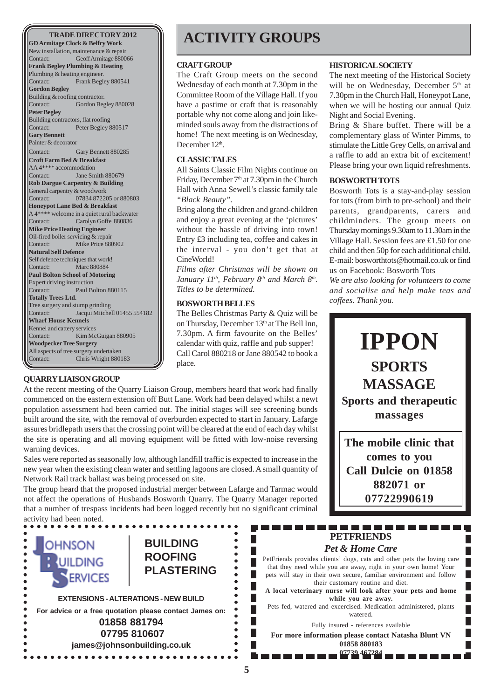**GD Armitage Clock & Belfry Work** New installation, maintenance & repair<br>Contact: Geoff Armitage 8800 Geoff Armitage 880066 **Frank Begley Plumbing & Heating** Plumbing & heating engineer. Contact: Frank Begley 880541 **Gordon Begley** Building & roofing contractor.<br>Contact: Gordon Beg Gordon Begley 880028 **Peter Begley** Building contractors, flat roofing Contact: Peter Begley 880517 **Gary Bennett** Painter & decorator Contact: Gary Bennett 880285 **Croft Farm Bed & Breakfast** AA 4\*\*\*\* accommodation<br>Contact: Jane Sm Jane Smith 880679 **Rob Dargue Carpentry & Building** General carpentry & woodwork Contact: 07834 872205 or 880803 **Honeypot Lane Bed & Breakfast** A 4\*\*\*\* welcome in a quiet rural backwater Contact: Carolyn Goffe 880836 **Mike Price Heating Engineer** Oil-fired boiler servicing & repair Contact: Mike Price 880902 **Natural Self Defence** Self defence techniques that work! Contact: Marc 880884 **Paul Bolton School of Motoring** Expert driving instruction Contact: Paul Bolton 880115 **Totally Trees Ltd.** Tree surgery and stump grinding<br>Contact: Lacqui Mitchel Jacqui Mitchell 01455 554182 **Wharf House Kennels** Kennel and cattery services Contact: Kim McGuigan 880905 **Woodpecker Tree Surgery** All aspects of tree surgery undertaken Contact: Chris Wright 880183

#### **QUARRY LIAISON GROUP**

### **ACTIVITY GROUPS**

#### **CRAFT GROUP**

The Craft Group meets on the second Wednesday of each month at 7.30pm in the Committee Room of the Village Hall. If you have a pastime or craft that is reasonably portable why not come along and join likeminded souls away from the distractions of home! The next meeting is on Wednesday, December 12<sup>th</sup>.

#### **CLASSIC TALES**

All Saints Classic Film Nights continue on Friday, December 7<sup>th</sup> at 7.30pm in the Church Hall with Anna Sewell's classic family tale *"Black Beauty".*

Bring along the children and grand-children and enjoy a great evening at the 'pictures' without the hassle of driving into town! Entry £3 including tea, coffee and cakes in the interval - you don't get that at CineWorld!

*Films after Christmas will be shown on* January 11<sup>th</sup>, February 8<sup>th</sup> and March 8<sup>th</sup>. *Titles to be determined.*

#### **BOSWORTH BELLES**

The Belles Christmas Party & Quiz will be on Thursday, December 13<sup>th</sup> at The Bell Inn, 7.30pm. A firm favourite on the Belles' calendar with quiz, raffle and pub supper! Call Carol 880218 or Jane 880542 to book a place.

At the recent meeting of the Quarry Liaison Group, members heard that work had finally commenced on the eastern extension off Butt Lane. Work had been delayed whilst a newt population assessment had been carried out. The initial stages will see screening bunds built around the site, with the removal of overburden expected to start in January. Lafarge assures bridlepath users that the crossing point will be cleared at the end of each day whilst the site is operating and all moving equipment will be fitted with low-noise reversing warning devices.

Sales were reported as seasonally low, although landfill traffic is expected to increase in the new year when the existing clean water and settling lagoons are closed. A small quantity of Network Rail track ballast was being processed on site.

The group heard that the proposed industrial merger between Lafarge and Tarmac would not affect the operations of Husbands Bosworth Quarry. The Quarry Manager reported that a number of trespass incidents had been logged recently but no significant criminal activity had been noted.



#### **HISTORICAL SOCIETY**

The next meeting of the Historical Society will be on Wednesday, December 5<sup>th</sup> at 7.30pm in the Church Hall, Honeypot Lane, when we will be hosting our annual Quiz Night and Social Evening.

Bring & Share buffet. There will be a complementary glass of Winter Pimms, to stimulate the Little Grey Cells, on arrival and a raffle to add an extra bit of excitement! Please bring your own liquid refreshments.

#### **BOSWORTH TOTS**

Bosworth Tots is a stay-and-play session for tots (from birth to pre-school) and their parents, grandparents, carers and childminders. The group meets on Thursday mornings 9.30am to 11.30am in the Village Hall. Session fees are £1.50 for one child and then 50p for each additional child. E-mail: bosworthtots@hotmail.co.uk or find us on Facebook: Bosworth Tots

*We are also looking for volunteers to come and socialise and help make teas and coffees. Thank you.*



**The mobile clinic that comes to you Call Dulcie on 01858 882071 or 07722990619**

П

П

### **PETFRIENDS** *Pet & Home Care*

PetFriends provides clients' dogs, cats and other pets the loving care that they need while you are away, right in your own home! Your pets will stay in their own secure, familiar environment and follow their customary routine and diet.

**A local veterinary nurse will look after your pets and home while you are away.**

Pets fed, watered and excercised. Medication administered, plants watered.

Fully insured - references available

**For more information please contact Natasha Blunt VN 01858 880183**

**07739 467284**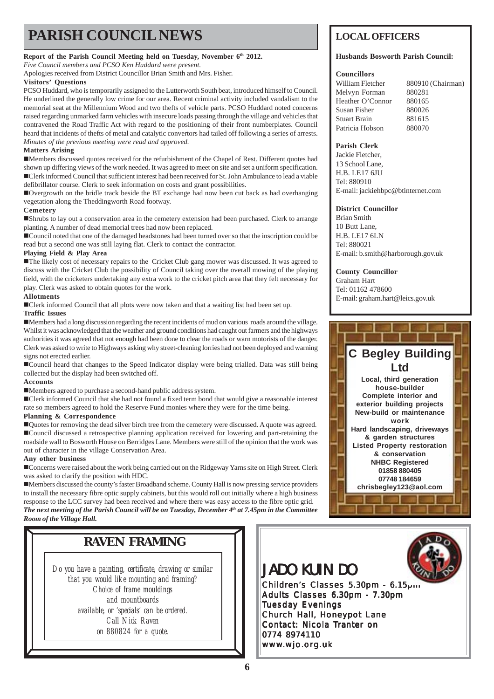## **PARISH COUNCIL NEWS** LOCAL OFFICERS

**Report of the Parish Council Meeting held on Tuesday, November 6th 2012.**

*Five Council members and PCSO Ken Huddard were present.*

Apologies received from District Councillor Brian Smith and Mrs. Fisher.

#### **Visitors' Questions**

PCSO Huddard, who is temporarily assigned to the Lutterworth South beat, introduced himself to Council. He underlined the generally low crime for our area. Recent criminal activity included vandalism to the memorial seat at the Millennium Wood and two thefts of vehicle parts. PCSO Huddard noted concerns raised regarding unmarked farm vehicles with insecure loads passing through the village and vehicles that contravened the Road Traffic Act with regard to the positioning of their front numberplates. Council heard that incidents of thefts of metal and catalytic convertors had tailed off following a series of arrests. *Minutes of the previous meeting were read and approved.*

#### **Matters Arising**

!Members discussed quotes received for the refurbishment of the Chapel of Rest. Different quotes had shown up differing views of the work needed. It was agreed to meet on site and set a uniform specification. !Clerk informed Council that sufficient interest had been received for St. John Ambulance to lead a viable defibrillator course. Clerk to seek information on costs and grant possibilities.

!Overgrowth on the bridle track beside the BT exchange had now been cut back as had overhanging vegetation along the Theddingworth Road footway.

#### **Cemetery**

!Shrubs to lay out a conservation area in the cemetery extension had been purchased. Clerk to arrange planting. A number of dead memorial trees had now been replaced.

!Council noted that one of the damaged headstones had been turned over so that the inscription could be read but a second one was still laying flat. Clerk to contact the contractor.

#### **Playing Field & Play Area**

!The likely cost of necessary repairs to the Cricket Club gang mower was discussed. It was agreed to discuss with the Cricket Club the possibility of Council taking over the overall mowing of the playing field, with the cricketers undertaking any extra work to the cricket pitch area that they felt necessary for play. Clerk was asked to obtain quotes for the work.

#### **Allotments**

!Clerk informed Council that all plots were now taken and that a waiting list had been set up. **Traffic Issues**

!Members had a long discussion regarding the recent incidents of mud on various roads around the village. Whilst it was acknowledged that the weather and ground conditions had caught out farmers and the highways authorities it was agreed that not enough had been done to clear the roads or warn motorists of the danger. Clerk was asked to write to Highways asking why street-cleaning lorries had not been deployed and warning signs not erected earlier.

!Council heard that changes to the Speed Indicator display were being trialled. Data was still being collected but the display had been switched off.

#### **Accounts**

!Members agreed to purchase a second-hand public address system.

!Clerk informed Council that she had not found a fixed term bond that would give a reasonable interest rate so members agreed to hold the Reserve Fund monies where they were for the time being.

#### **Planning & Correspondence**

!Quotes for removing the dead silver birch tree from the cemetery were discussed. A quote was agreed. !Council discussed a retrospective planning application received for lowering and part-retaining the roadside wall to Bosworth House on Berridges Lane. Members were still of the opinion that the work was out of character in the village Conservation Area.

#### **Any other business**

!Concerns were raised about the work being carried out on the Ridgeway Yarns site on High Street. Clerk was asked to clarify the position with HDC.

!Members discussed the county's faster Broadband scheme. County Hall is now pressing service providers to install the necessary fibre optic supply cabinets, but this would roll out initially where a high business response to the LCC survey had been received and where there was easy access to the fibre optic grid. *The next meeting of the Parish Council will be on Tuesday, December 4th at 7.45pm in the Committee Room of the Village Hall.*

### **RAVEN FRAMING**

*Do you have a painting, certificate, drawing or similar that you would like mounting and framing? Choice of frame mouldings and mountboards available, or 'specials' can be ordered. Call Nick Raven on 880824 for a quote.*

#### **Husbands Bosworth Parish Council:**

#### **Councillors**

| William Fletcher | 880910 (Chairman) |
|------------------|-------------------|
| Melvyn Forman    | 880281            |
| Heather O'Connor | 880165            |
| Susan Fisher     | 880026            |
| Stuart Brain     | 881615            |
| Patricia Hobson  | 880070            |
|                  |                   |

#### **Parish Clerk**

Jackie Fletcher, 13 School Lane, H.B. LE17 6JU Tel: 880910 E-mail: jackiehbpc@btinternet.com

#### **District Councillor**

Brian Smith 10 Butt Lane, H.B. LE17 6LN Tel: 880021 E-mail: b.smith@harborough.gov.uk

#### **County Councillor**

Graham Hart Tel: 01162 478600 E-mail: graham.hart@leics.gov.uk



### JADO KUIN DO

Children's Classes 5.30pm - 6.15pm Adults Classes 6.30pm - 7.30pm Tuesday Evenings Church Hall, Honeypot Lane Contact: Nicola Tranter on 0774 8974110 www.wjo.org.uk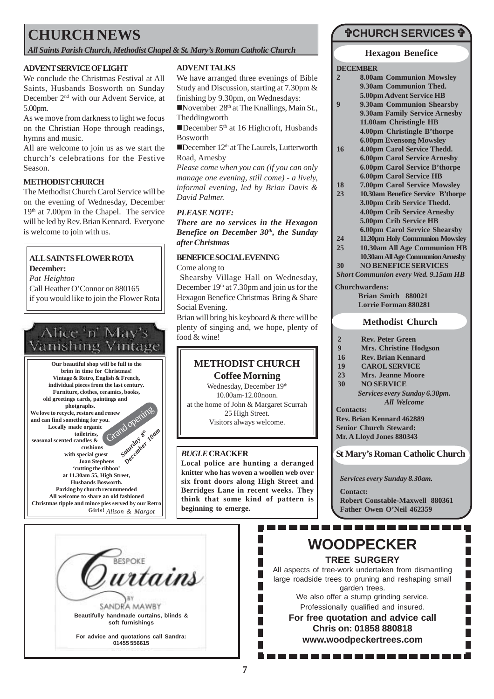### **CHURCH NEWS**

*All Saints Parish Church, Methodist Chapel & St. Mary's Roman Catholic Church*

#### **ADVENT SERVICE OF LIGHT**

We conclude the Christmas Festival at All Saints, Husbands Bosworth on Sunday December 2nd with our Advent Service, at 5.00pm.

As we move from darkness to light we focus on the Christian Hope through readings, hymns and music.

All are welcome to join us as we start the church's celebrations for the Festive Season.

#### **METHODIST CHURCH**

The Methodist Church Carol Service will be on the evening of Wednesday, December  $19<sup>th</sup>$  at 7.00pm in the Chapel. The service will be led by Rev. Brian Kennard. Everyone is welcome to join with us.

#### **ALL SAINTS FLOWER ROTA**

**December:**

*Pat Heighton* Call Heather O'Connor on 880165 if you would like to join the Flower Rota

# Alice 'n' May's<br>Vanishing Vintage

**Our beautiful shop will be full to the brim in time for Christmas! Vintage & Retro, English & French, individual pieces from the last century. Furniture, clothes, ceramics, books, old greetings cards, paintings and photgraphs. We love to recycle, restore and renew and can find something for you. Locally made organic toiletries,** renew opening

**seasonal scented candles & cushions with special guest Joan Stephens 'cutting the ribbon' at 11.30am 55, High Street, Husbands Bosworth. Parking by church recommended** *Saturday 8th December 10am*

**All welcome to share an old fashioned Christmas tipple and mince pies served by our Retro Girls!** *Alison & Margot*



We have arranged three evenings of Bible Study and Discussion, starting at 7.30pm & finishing by 9.30pm, on Wednesdays:

November  $28<sup>th</sup>$  at The Knallings, Main St., Theddingworth

December  $5<sup>th</sup>$  at 16 Highcroft, Husbands Bosworth

 $\blacksquare$ December 12<sup>th</sup> at The Laurels, Lutterworth Road, Arnesby

*Please come when you can (if you can only manage one evening, still come) - a lively, informal evening, led by Brian Davis & David Palmer.*

#### *PLEASE NOTE:*

*There are no services in the Hexagon Benefice on December 30th, the Sunday after Christmas*

#### **BENEFICE SOCIAL EVENING**

Come along to

 Shearsby Village Hall on Wednesday, December  $19<sup>th</sup>$  at 7.30pm and join us for the Hexagon Benefice Christmas Bring & Share Social Evening.

Brian will bring his keyboard & there will be plenty of singing and, we hope, plenty of food & wine!

### **METHODIST CHURCH**

**Coffee Morning** Wednesday, December 19th 10.00am-12.00noon. at the home of John & Margaret Scurrah 25 High Street. Visitors always welcome.

#### *BUGLE* **CRACKER**

**Local police are hunting a deranged knitter who has woven a woollen web over six front doors along High Street and Berridges Lane in recent weeks. They think that some kind of pattern is beginning to emerge.**

### "**CHURCH SERVICES** "

#### **Hexagon Benefice**

**DECEMBER**

- **2 8.00am Communion Mowsley 9.30am Communion Thed. 5.00pm Advent Service HB 9 9.30am Communion Shearsby 9.30am Family Service Arnesby 11.00am Christingle HB 4.00pm Christingle B'thorpe 6.00pm Evensong Mowsley**
- **16 4.00pm Carol Service Thedd. 6.00pm Carol Service Arnesby 6.00pm Carol Service B'thorpe 6.00pm Carol Service HB**
- **18 7.00pm Carol Service Mowsley 23 10.30am Benefice Service B'thorpe 3.00pm Crib Service Thedd. 4.00pm Crib Service Arnesby 5.00pm Crib Service HB 6.00pm Carol Service Shearsby**
- **24 11.30pm Holy Communion Mowsley**
- **25 10.30am All Age Communion HB 10.30am All Age Communion Arnesby**
- **30 NO BENEFICE SERVICES**
- *Short Communion every Wed. 9.15am HB*
- **Churchwardens:**

**Brian Smith 880021 Lorrie Forman 880281**

#### **Methodist Church**

- **2 Rev. Peter Green**
- **9 Mrs. Christine Hodgson**
- **16 Rev. Brian Kennard**
- **19 CAROL SERVICE**
- **23 Mrs. Jeanne Moore**
- **30 NO SERVICE**
	- *Services every Sunday 6.30pm. All Welcome*
- **Contacts:**

**Rev. Brian Kennard 462889 Senior Church Steward: Mr. A Lloyd Jones 880343**

**St Mary's Roman Catholic Church**

*Services every Sunday 8.30am.*

**Contact:**

**Robert Constable-Maxwell 880361 Father Owen O'Neil 462359**

. . . . . . . . . . .

. . . . . . . . . .

 $\overline{\phantom{a}}$ Г



## **WOODPECKER**

**TREE SURGERY**

All aspects of tree-work undertaken from dismantling large roadside trees to pruning and reshaping small garden trees.

We also offer a stump grinding service. Professionally qualified and insured.

**For free quotation and advice call Chris on: 01858 880818 www.woodpeckertrees.com**